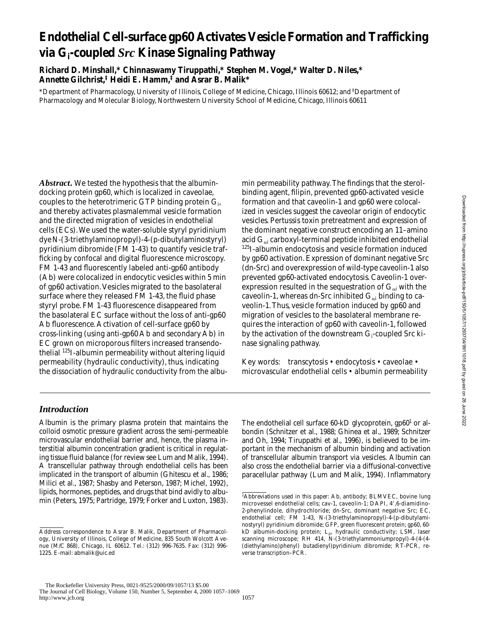# **Endothelial Cell-surface gp60 Activates Vesicle Formation and Trafficking via Gi -coupled** *Src* **Kinase Signaling Pathway**

**Richard D. Minshall,\* Chinnaswamy Tiruppathi,\* Stephen M. Vogel,\* Walter D. Niles,\* Annette Gilchrist,‡ Heidi E. Hamm,‡ and Asrar B. Malik\***

\*Department of Pharmacology, University of Illinois, College of Medicine, Chicago, Illinois 60612; and ‡ Department of Pharmacology and Molecular Biology, Northwestern University School of Medicine, Chicago, Illinois 60611

*Abstract.* We tested the hypothesis that the albumindocking protein gp60, which is localized in caveolae, couples to the heterotrimeric GTP binding protein  $\mathrm{G}_{\mathrm{i}}$ , and thereby activates plasmalemmal vesicle formation and the directed migration of vesicles in endothelial cells (ECs). We used the water-soluble styryl pyridinium dye *N*-(3-triethylaminopropyl)-4-(p-dibutylaminostyryl) pyridinium dibromide (FM 1-43) to quantify vesicle trafficking by confocal and digital fluorescence microscopy. FM 1-43 and fluorescently labeled anti-gp60 antibody (Ab) were colocalized in endocytic vesicles within 5 min of gp60 activation. Vesicles migrated to the basolateral surface where they released FM 1-43, the fluid phase styryl probe. FM 1-43 fluorescence disappeared from the basolateral EC surface without the loss of anti-gp60 Ab fluorescence. Activation of cell-surface gp60 by cross-linking (using anti-gp60 Ab and secondary Ab) in EC grown on microporous filters increased transendothelial 125I-albumin permeability without altering liquid permeability (hydraulic conductivity), thus, indicating the dissociation of hydraulic conductivity from the albumin permeability pathway. The findings that the sterolbinding agent, filipin, prevented gp60-activated vesicle formation and that caveolin-1 and gp60 were colocalized in vesicles suggest the caveolar origin of endocytic vesicles. Pertussis toxin pretreatment and expression of the dominant negative construct encoding an 11–amino acid  $\mathrm{G}_{\alpha i}$  carboxyl-terminal peptide inhibited endothelial <sup>125</sup>I-albumin endocytosis and vesicle formation induced by gp60 activation. Expression of dominant negative *Src* (dn-*Src*) and overexpression of wild-type caveolin-1 also prevented gp60-activated endocytosis. Caveolin-1 overexpression resulted in the sequestration of  $\mathbf{G}_{\alpha\mathbf{i}}$  with the caveolin-1, whereas dn-*Src* inhibited G<sub>ai</sub> binding to caveolin-1. Thus, vesicle formation induced by gp60 and migration of vesicles to the basolateral membrane requires the interaction of gp60 with caveolin-1, followed by the activation of the downstream G<sub>i</sub>-coupled *Src* kinase signaling pathway.

Key words: transcytosis • endocytosis • caveolae • microvascular endothelial cells • albumin permeability

# *Introduction*

Albumin is the primary plasma protein that maintains the colloid osmotic pressure gradient across the semi-permeable microvascular endothelial barrier and, hence, the plasma interstitial albumin concentration gradient is critical in regulating tissue fluid balance (for review see Lum and Malik, 1994). A transcellular pathway through endothelial cells has been implicated in the transport of albumin (Ghitescu et al., 1986; Milici et al., 1987; Shasby and Peterson, 1987; Michel, 1992), lipids, hormones, peptides, and drugs that bind avidly to albumin (Peters, 1975; Partridge, 1979; Forker and Luxton, 1983). The endothelial cell surface 60-kD glycoprotein, gp60<sup>1</sup> or albondin (Schnitzer et al., 1988; Ghinea et al., 1989; Schnitzer and Oh, 1994; Tiruppathi et al., 1996), is believed to be important in the mechanism of albumin binding and activation of transcellular albumin transport via vesicles. Albumin can also cross the endothelial barrier via a diffusional-convective paracellular pathway (Lum and Malik, 1994). Inflammatory

Address correspondence to Asrar B. Malik, Department of Pharmacology, University of Illinois, College of Medicine, 835 South Wolcott Avenue (M/C 868), Chicago, IL 60612. Tel.: (312) 996-7635. Fax: (312) 996- 1225. E-mail: abmalik@uic.ed

<sup>&</sup>lt;sup>1</sup>Abbreviations used in this paper: Ab, antibody; BLMVEC, bovine lung microvessel endothelial cells; cav-1, caveolin-1; DAPI, 4',6-diamidino-2-phenylindole, dihydrochloride; dn-*Src*, dominant negative *Src*; EC, endothelial cell; FM 1-43, *N*-(3-triethylaminopropyl)-4-(p-dibutylaminostyryl) pyridinium dibromide; GFP, green fluorescent protein; gp60, 60 kD albumin-docking protein;  $L_p$ , hydraulic conductivity; LSM, laser scanning microscope; RH 414, *N*-(3-triethylammoniumpropyl)-4-(4-(4- (diethylamino)phenyl) butadienyl)pyridinium dibromide; RT-PCR, reverse transcription–PCR.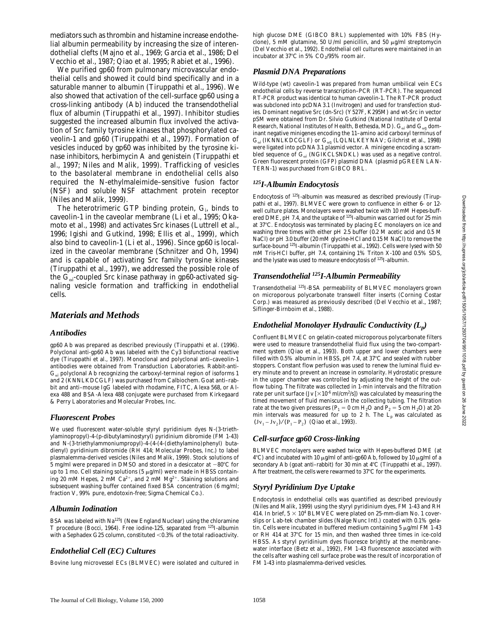mediators such as thrombin and histamine increase endothelial albumin permeability by increasing the size of interendothelial clefts (Majno et al., 1969; Garcia et al., 1986; Del Vecchio et al., 1987; Qiao et al. 1995; Rabiet et al., 1996).

We purified gp60 from pulmonary microvascular endothelial cells and showed it could bind specifically and in a saturable manner to albumin (Tiruppathi et al., 1996). We also showed that activation of the cell-surface gp60 using a cross-linking antibody (Ab) induced the transendothelial flux of albumin (Tiruppathi et al., 1997). Inhibitor studies suggested the increased albumin flux involved the activation of *Src* family tyrosine kinases that phosphorylated caveolin-1 and gp60 (Tiruppathi et al., 1997). Formation of vesicles induced by gp60 was inhibited by the tyrosine kinase inhibitors, herbimycin A and genistein (Tiruppathi et al., 1997; Niles and Malik, 1999). Trafficking of vesicles to the basolateral membrane in endothelial cells also required the *N*-ethylmaleimide–sensitive fusion factor (NSF) and soluble NSF attachment protein receptor (Niles and Malik, 1999).

The heterotrimeric GTP binding protein,  $G_i$ , binds to caveolin-1 in the caveolar membrane (Li et al., 1995; Okamoto et al., 1998) and activates *Src* kinases (Luttrell et al., 1996; Igishi and Gutkind, 1998; Ellis et al., 1999), which also bind to caveolin-1 (Li et al., 1996). Since gp60 is localized in the caveolar membrane (Schnitzer and Oh, 1994) and is capable of activating *Src* family tyrosine kinases (Tiruppathi et al., 1997), we addressed the possible role of the G<sub>ai</sub>-coupled *Src* kinase pathway in gp60-activated signaling vesicle formation and trafficking in endothelial cells.

### *Materials and Methods*

### *Antibodies*

gp60 Ab was prepared as described previously (Tiruppathi et al. (1996). Polyclonal anti-gp60 Ab was labeled with the Cy3 bisfunctional reactive dye (Tiruppathi et al., 1997). Monoclonal and polyclonal anti–caveolin-1 antibodies were obtained from Transduction Laboratories. Rabbit-anti- $G_{\alpha i}$  polyclonal Ab recognizing the carboxyl-terminal region of isoforms 1 and 2 (KNNLKDCGLF) was purchased from Calbiochem. Goat anti–rabbit and anti–mouse IgG labeled with rhodamine, FITC, Alexa 568, or Alexa 488 and BSA-Alexa 488 conjugate were purchased from Kirkegaard & Perry Laboratories and Molecular Probes, Inc.

### *Fluorescent Probes*

We used fluorescent water-soluble styryl pyridinium dyes *N*-(3-triethylaminopropyl)-4-(p-dibutylaminostyryl) pyridinium dibromide (FM 1-43) and *N*-(3-triethylammoniumpropyl)-4-(4-(4-(diethylamino)phenyl) butadienyl) pyridinium dibromide (RH 414; Molecular Probes, Inc.) to label plasmalemma-derived vesicles (Niles and Malik, 1999). Stock solutions of 5 mg/ml were prepared in DMSO and stored in a desiccator at  $-80^{\circ}$ C for up to 1 mo. Cell staining solutions (5  $\mu$ g/ml) were made in HBSS containing 20 mM Hepes, 2 mM Ca<sup>2+</sup>, and 2 mM Mg<sup>2+</sup>. Staining solutions and subsequent washing buffer contained fixed BSA concentration (6 mg/ml; fraction V, 99% pure, endotoxin-free; Sigma Chemical Co.).

### *Albumin Iodination*

BSA was labeled with Na125I (New England Nuclear) using the chloramine T procedure (Bocci, 1964). Free iodine-125, separated from 125I-albumin with a Sephadex G25 column, constituted  $<$  0.3% of the total radioactivity.

# *Endothelial Cell (EC) Cultures*

Bovine lung microvessel ECs (BLMVEC) were isolated and cultured in

high glucose DME (GIBCO BRL) supplemented with 10% FBS (Hyclone), 5 mM glutamine, 50 U/ml penicillin, and 50  $\mu$ g/ml streptomycin (Del Vecchio et al., 1992). Endothelial cell cultures were maintained in an incubator at 37°C in 5%  $CO<sub>2</sub>/95%$  room air.

### *Plasmid DNA Preparations*

Wild-type (wt) caveolin-1 was prepared from human umbilical vein ECs endothelial cells by reverse transcription–PCR (RT-PCR). The sequenced RT-PCR product was identical to human caveolin-1. The RT-PCR product was subcloned into pcDNA3.1 (Invitrogen) and used for transfection studies. Dominant negative *Src* (dn-*Src*) (Y527F, K295M) and wt-*Src* in vector pSM were obtained from Dr. Silvio Gutkind (National Institute of Dental Research, National Institutes of Health, Bethesda, MD).  $\rm G_{\alpha i}$  and  $\rm G_{\alpha q}$  dominant negative minigenes encoding the 11–amino acid carboxyl terminus of  $G_{\alpha i}$  (IKNNLKDCGLF) or  $G_{\alpha q}$  (LQLNLKEYNAV; Gilchrist et al., 1998) were ligated into pcDNA3.1 plasmid vector. A minigene encoding a scrambled sequence of  $\mathrm{G}_{\alpha i}$  (NGIKCLSNDKL) was used as a negative control. Green fluorescent protein (GFP) plasmid DNA (plasmid pGREEN LAN-TERN-1) was purchased from GIBCO BRL.

### *125I-Albumin Endocytosis*

Endocytosis of 125I-albumin was measured as described previously (Tiruppathi et al., 1997). BLMVEC were grown to confluence in either 6- or 12 well culture plates. Monolayers were washed twice with 10 mM Hepes-buffered DME, pH 7.4, and the uptake of  $125$ I-albumin was carried out for 25 min at 37°C. Endocytosis was terminated by placing EC monolayers on ice and washing three times with either pH 2.5 buffer (0.2 M acetic acid and 0.5 M NaCl) or pH 3.0 buffer (20 mM glycine-HCl and 0.15 M NaCl) to remove the surface-bound 125I-albumin (Tiruppathi et al., 1992). Cells were lysed with 50 mM Tris-HCl buffer, pH 7.4, containing 1% Triton X-100 and 0.5% SDS, and the lysate was used to measure endocytosis of 125I-albumin.

### *Transendothelial 125I-Albumin Permeability*

Transendothelial 125I-BSA permeability of BLMVEC monolayers grown on microporous polycarbonate transwell filter inserts (Corning Costar Corp.) was measured as previously described (Del Vecchio et al., 1987; Siflinger-Birnboim et al., 1988).

### *Endothelial Monolayer Hydraulic Conductivity (Lp)*

Confluent BLMVEC on gelatin-coated microporous polycarbonate filters were used to measure transendothelial fluid flux using the two-compartment system (Qiao et al., 1993). Both upper and lower chambers were filled with 0.5% albumin in HBSS, pH 7.4, at  $37^{\circ}$ C and sealed with rubber stoppers. Constant flow perfusion was used to renew the luminal fluid every minute and to prevent an increase in osmolarity. Hydrostatic pressure in the upper chamber was controlled by adjusting the height of the outflow tubing. The filtrate was collected in 1-min intervals and the filtration rate per unit surface (Jv [ $\times 10^{-6}$  ml/cm $^2$ /s]) was calculated by measuring the timed movement of fluid meniscus in the collecting tubing. The filtration rate at the two given pressures ( $P_1 = 0$  cm  $H_2O$  and  $P_2 = 5$  cm  $H_2O$ ) at 20min intervals was measured for up to 2 h. The  $L_p$  was calculated as  $(Jv_1 - Jv_2) / (P_1 - P_2)$  (Qiao et al., 1993).

# *Cell-surface gp60 Cross-linking*

BLMVEC monolayers were washed twice with Hepes-buffered DME (at  $4^{\circ}$ C) and incubated with 10  $\mu$ g/ml of anti-gp60 Ab, followed by 10  $\mu$ g/ml of a secondary Ab (goat anti-rabbit) for 30 min at  $4^{\circ}$ C (Tiruppathi et al., 1997). After treatment, the cells were rewarmed to  $37^{\circ}$ C for the experiments.

### *Styryl Pyridinium Dye Uptake*

Endocytosis in endothelial cells was quantified as described previously (Niles and Malik, 1999) using the styryl pyridinium dyes, FM 1-43 and RH 414. In brief,  $5 \times 10^4$  BLMVEC were plated on 25-mm-diam No. 1 coverslips or Lab-tek chamber slides (Nalge Nunc Intl.) coated with 0.1% gelatin. Cells were incubated in buffered medium containing 5  $\mu$ g/ml FM 1-43 or RH 414 at 37°C for 15 min, and then washed three times in ice-cold HBSS. As styryl pyridinium dyes fluoresce brightly at the membrane– water interface (Betz et al., 1992), FM 1-43 fluorescence associated with the cells after washing cell surface probe was the result of incorporation of FM 1-43 into plasmalemma-derived vesicles.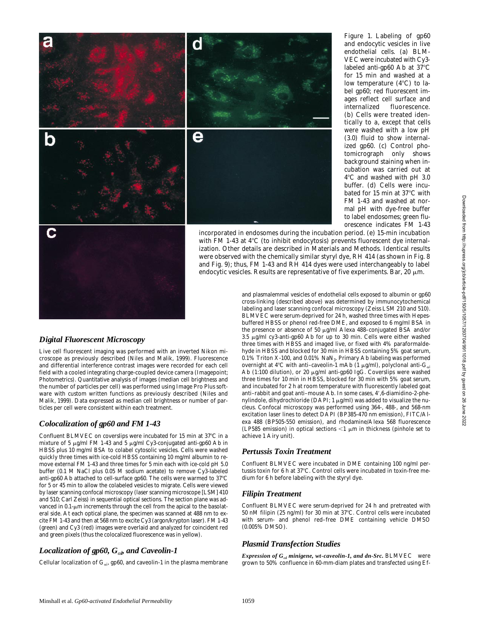

*Figure 1.* Labeling of gp60 and endocytic vesicles in live endothelial cells. (a) BLM-VEC were incubated with Cy3 labeled anti-gp60 Ab at  $37^{\circ}$ C for 15 min and washed at a low temperature  $(4^{\circ}C)$  to label gp60; red fluorescent images reflect cell surface and internalized fluorescence. (b) Cells were treated identically to a, except that cells were washed with a low pH (3.0) fluid to show internalized gp60. (c) Control photomicrograph only shows background staining when incubation was carried out at  $4^{\circ}$ C and washed with pH 3.0 buffer. (d) Cells were incubated for 15 min at 37°C with FM 1-43 and washed at normal pH with dye-free buffer to label endosomes; green fluorescence indicates FM 1-43

incorporated in endosomes during the incubation period. (e) 15-min incubation with FM 1-43 at  $4^{\circ}$ C (to inhibit endocytosis) prevents fluorescent dye internalization. Other details are described in Materials and Methods. Identical results were observed with the chemically similar styryl dye, RH 414 (as shown in Fig. 8 and Fig. 9); thus, FM 1-43 and RH 414 dyes were used interchangeably to label endocytic vesicles. Results are representative of five experiments. Bar, 20  $\mu$ m.

*Digital Fluorescent Microscopy* Live cell fluorescent imaging was performed with an inverted Nikon microscope as previously described (Niles and Malik, 1999). Fluorescence and differential interference contrast images were recorded for each cell

field with a cooled integrating charge-coupled device camera (Imagepoint; Photometrics). Quantitative analysis of images (median cell brightness and the number of particles per cell) was performed using Image Pro Plus software with custom written functions as previously described (Niles and Malik, 1999). Data expressed as median cell brightness or number of particles per cell were consistent within each treatment.

# *Colocalization of gp60 and FM 1-43*

Confluent BLMVEC on coverslips were incubated for 15 min at 37 $^{\circ}$ C in a mixture of 5  $\mu$ g/ml FM 1-43 and 5  $\mu$ g/ml Cy3-conjugated anti-gp60 Ab in HBSS plus 10 mg/ml BSA to colabel cytosolic vesicles. Cells were washed quickly three times with ice-cold HBSS containing 10 mg/ml albumin to remove external FM 1-43 and three times for 5 min each with ice-cold pH 5.0 buffer (0.1 M NaCl plus 0.05 M sodium acetate) to remove Cy3-labeled anti-gp60 Ab attached to cell-surface gp60. The cells were warmed to 37°C for 5 or 45 min to allow the colabeled vesicles to migrate. Cells were viewed by laser scanning confocal microscopy (laser scanning microscope [LSM] 410 and 510; Carl Zeiss) in sequential optical sections. The section plane was advanced in  $0.1$ - $\mu$ m increments through the cell from the apical to the basolateral side. At each optical plane, the specimen was scanned at 488 nm to excite FM 1-43 and then at 568 nm to excite Cy3 (argon/krypton laser). FM 1-43 (green) and Cy3 (red) images were overlaid and analyzed for coincident red and green pixels (thus the colocalized fluorescence was in yellow).

# *Localization of gp60, G*a*<sup>i</sup> , and Caveolin-1*

Cellular localization of  $\mathrm{G}_{\alpha i}$ , gp60, and caveolin-1 in the plasma membrane

and plasmalemmal vesicles of endothelial cells exposed to albumin or gp60 cross-linking (described above) was determined by immunocytochemical labeling and laser scanning confocal microscopy (Zeiss LSM 210 and 510). BLMVEC were serum-deprived for 24 h, washed three times with Hepesbuffered HBSS or phenol red-free DME, and exposed to 6 mg/ml BSA in the presence or absence of 50 µg/ml Alexa 488-conjugated BSA and/or 3.5 µg/ml cy3-anti-gp60 Ab for up to 30 min. Cells were either washed three times with HBSS and imaged live, or fixed with 4% paraformaldehyde in HBSS and blocked for 30 min in HBSS containing 5% goat serum, 0.1% Triton X-100, and 0.01% NaN3. Primary Ab labeling was performed overnight at 4°C with anti-caveolin-1 mAb (1  $\mu$ g/ml), polyclonal anti-G<sub>ai</sub> Ab (1:100 dilution), or 20  $\mu$ g/ml anti-gp60 IgG. Coverslips were washed three times for 10 min in HBSS, blocked for 30 min with 5% goat serum, and incubated for 2 h at room temperature with fluorescently labeled goat anti-rabbit and goat anti-mouse Ab. In some cases, 4',6-diamidino-2-phenylindole, dihydrochloride (DAPI;  $1 \mu g/ml$ ) was added to visualize the nucleus. Confocal microscopy was performed using 364-, 488-, and 568-nm excitation laser lines to detect DAPI (BP385-470 nm emission), FITC/Alexa 488 (BP505-550 emission), and rhodamine/Alexa 568 fluorescence (LP585 emission) in optical sections  $\leq 1$   $\mu$ m in thickness (pinhole set to achieve 1 Airy unit).

# *Pertussis Toxin Treatment*

Confluent BLMVEC were incubated in DME containing 100 ng/ml pertussis toxin for 6 h at 37°C. Control cells were incubated in toxin-free medium for 6 h before labeling with the styryl dye.

# *Filipin Treatment*

Confluent BLMVEC were serum-deprived for 24 h and pretreated with 50 nM filipin (25 ng/ml) for 30 min at 37°C. Control cells were incubated with serum- and phenol red–free DME containing vehicle DMSO (0.005% DMSO).

# *Plasmid Transfection Studies*

*Expression of G*<sub>*ai*</sub> minigene, wt-caveolin-1, and dn-Src. BLMVEC were grown to 50% confluence in 60-mm-diam plates and transfected using Ef-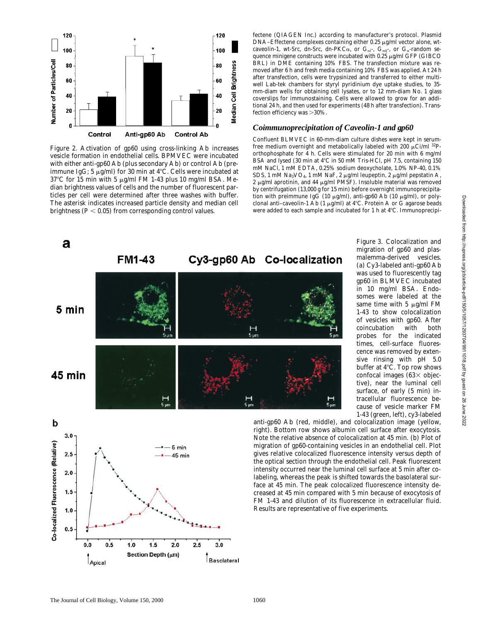

*Figure 2.* Activation of gp60 using cross-linking Ab increases vesicle formation in endothelial cells. BPMVEC were incubated with either anti-gp60 Ab (plus secondary Ab) or control Ab (preimmune IgG; 5  $\mu$ g/ml) for 30 min at 4°C. Cells were incubated at  $37^{\circ}$ C for 15 min with 5 µg/ml FM 1-43 plus 10 mg/ml BSA. Median brightness values of cells and the number of fluorescent particles per cell were determined after three washes with buffer. The asterisk indicates increased particle density and median cell brightness ( $P < 0.05$ ) from corresponding control values.

fectene (QIAGEN Inc.) according to manufacturer's protocol. Plasmid  $DNA-Effectene complexes containing either 0.25  $\mu$ g/ml vector alone, wt$ caveolin-1, wt-*Src*, dn-*Src*, dn-PKC $\alpha$ , or G<sub>ai</sub>-, G<sub>aq</sub>-, or G<sub>a</sub>-random sequence minigene constructs were incubated with 0.25  $\mu$ g/ml GFP (GIBCO BRL) in DME containing 10% FBS. The transfection mixture was removed after 6 h and fresh media containing 10% FBS was applied. At 24 h after transfection, cells were trypsinized and transferred to either multiwell Lab-tek chambers for styryl pyridinium dye uptake studies, to 35 mm-diam wells for obtaining cell lysates, or to 12 mm-diam No. 1 glass coverslips for immunostaining. Cells were allowed to grow for an additional 24 h, and then used for experiments (48 h after transfection). Transfection efficiency was  $>$ 30%.

#### *Coimmunoprecipitation of Caveolin-1 and gp60*

Confluent BLMVEC in 60-mm-diam culture dishes were kept in serumfree medium overnight and metabolically labeled with 200  $\mu$ Ci/ml <sup>32</sup>Porthophosphate for 4 h. Cells were stimulated for 20 min with 6 mg/ml BSA and lysed (30 min at  $4^{\circ}$ C in 50 mM Tris-HCl, pH 7.5, containing 150 mM NaCl, 1 mM EDTA, 0.25% sodium deoxycholate, 1.0% NP-40, 0.1% SDS, 1 mM Na<sub>3</sub>VO<sub>4</sub>, 1 mM NaF, 2 µg/ml leupeptin, 2 µg/ml pepstatin A,  $2 \mu g/ml$  aprotinin, and  $44 \mu g/ml$  PMSF). Insoluble material was removed by centrifugation (13,000 *g* for 15 min) before overnight immunoprecipitation with preimmune IgG (10  $\mu$ g/ml), anti-gp60 Ab (10  $\mu$ g/ml), or polyclonal anti-caveolin-1 Ab (1  $\mu$ g/ml) at 4°C. Protein A or G agarose beads were added to each sample and incubated for 1 h at 4°C. Immunoprecipi-



*Figure 3.* Colocalization and migration of gp60 and plasmalemma-derived vesicles. (a) Cy3-labeled anti-gp60 Ab was used to fluorescently tag gp60 in BLMVEC incubated in 10 mg/ml BSA. Endosomes were labeled at the same time with 5  $\mu$ g/ml FM 1-43 to show colocalization of vesicles with gp60. After coincubation with both probes for the indicated times, cell-surface fluorescence was removed by extensive rinsing with pH 5.0 buffer at  $4^{\circ}$ C. Top row shows confocal images  $(63 \times$  objective), near the luminal cell surface, of early (5 min) intracellular fluorescence because of vesicle marker FM 1-43 (green, left), cy3-labeled

b  $3.0$ Co-localized Fluorescence (Relative) 5 min  $2.5$ 45 min  $2.0$  $1.5$  $1.0$  $0.5$  $1.5$  $2.5$  $3.0$  $0.0$  $0.5$  $1.0$ 2.0 Section Depth (µm) **Basolateral** Apical

anti-gp60 Ab (red, middle), and colocalization image (yellow, right). Bottom row shows albumin cell surface after exocytosis. Note the relative absence of colocalization at 45 min. (b) Plot of migration of gp60-containing vesicles in an endothelial cell. Plot gives relative colocalized fluorescence intensity versus depth of the optical section through the endothelial cell. Peak fluorescent intensity occurred near the luminal cell surface at 5 min after colabeling, whereas the peak is shifted towards the basolateral surface at 45 min. The peak colocalized fluorescence intensity decreased at 45 min compared with 5 min because of exocytosis of FM 1-43 and dilution of its fluorescence in extracellular fluid. Results are representative of five experiments.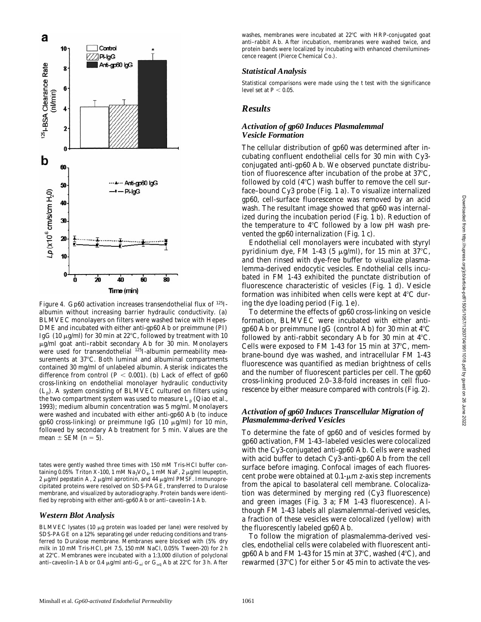

*Figure 4.* Gp60 activation increases transendothelial flux of <sup>125</sup>Ialbumin without increasing barrier hydraulic conductivity. (a) BLMVEC monolayers on filters were washed twice with Hepes-DME and incubated with either anti-gp60 Ab or preimmune (PI) IgG (10  $\mu$ g/ml) for 30 min at 22°C, followed by treatment with 10  $\mu$ g/ml goat anti-rabbit secondary Ab for 30 min. Monolayers were used for transendothelial <sup>125</sup>I-albumin permeability measurements at 37°C. Both luminal and albuminal compartments contained 30 mg/ml of unlabeled albumin. Asterisk indicates the difference from control  $(P < 0.001)$ . (b) Lack of effect of gp60 cross-linking on endothelial monolayer hydraulic conductivity  $(L_p)$ . A system consisting of BLMVEC cultured on filters using the two compartment system was used to measure  $L_p$  (Qiao et al., 1993); medium albumin concentration was 5 mg/ml. Monolayers were washed and incubated with either anti-gp60 Ab (to induce gp60 cross-linking) or preimmune IgG (10  $\mu$ g/ml) for 10 min, followed by secondary Ab treatment for 5 min. Values are the mean  $\pm$  SEM ( $n = 5$ ).

tates were gently washed three times with 150 mM Tris-HCl buffer containing 0.05% Triton X-100, 1 mM  $\text{Na}_3\text{VO}_4$ , 1 mM NaF, 2 µg/ml leupeptin, 2  $\mu$ g/ml pepstatin A, 2  $\mu$ g/ml aprotinin, and 44  $\mu$ g/ml PMSF. Immunoprecipitated proteins were resolved on SDS-PAGE, transferred to Duralose membrane, and visualized by autoradiography. Protein bands were identified by reprobing with either anti-gp60 Ab or anti–caveolin-1 Ab.

#### *Western Blot Analysis*

BLMVEC lysates (10  $\mu$ g protein was loaded per lane) were resolved by SDS-PAGE on a 12% separating gel under reducing conditions and transferred to Duralose membrane. Membranes were blocked with (5% dry milk in 10 mM Tris-HCl, pH 7.5, 150 mM NaCl, 0.05% Tween-20) for 2 h at 22°C. Membranes were incubated with a 1:3,000 dilution of polyclonal anti–caveolin-1 Ab or 0.4  $\mu$ g/ml anti-G $_{\alpha i}$  or G $_{\alpha q}$  Ab at 22°C for 3 h. After

washes, membranes were incubated at 22°C with HRP-conjugated goat anti–rabbit Ab. After incubation, membranes were washed twice, and protein bands were localized by incubating with enhanced chemiluminescence reagent (Pierce Chemical Co.).

### *Statistical Analysis*

Statistical comparisons were made using the *t* test with the significance level set at  $P < 0.05$ .

# *Results*

#### *Activation of gp60 Induces Plasmalemmal Vesicle Formation*

The cellular distribution of gp60 was determined after incubating confluent endothelial cells for 30 min with Cy3 conjugated anti-gp60 Ab. We observed punctate distribution of fluorescence after incubation of the probe at  $37^{\circ}$ C, followed by cold  $(4^{\circ}C)$  wash buffer to remove the cell surface–bound Cy3 probe (Fig. 1 a). To visualize internalized gp60, cell-surface fluorescence was removed by an acid wash. The resultant image showed that gp60 was internalized during the incubation period (Fig. 1 b). Reduction of the temperature to  $4^{\circ}$ C followed by a low pH wash prevented the gp60 internalization (Fig. 1 c).

Endothelial cell monolayers were incubated with styryl pyridinium dye, FM 1-43 (5  $\mu$ g/ml), for 15 min at 37°C, and then rinsed with dye-free buffer to visualize plasmalemma-derived endocytic vesicles. Endothelial cells incubated in FM 1-43 exhibited the punctate distribution of fluorescence characteristic of vesicles (Fig. 1 d). Vesicle formation was inhibited when cells were kept at  $4^{\circ}C$  during the dye loading period (Fig. 1 e).

To determine the effects of gp60 cross-linking on vesicle formation, BLMVEC were incubated with either antigp60 Ab or preimmune IgG (control Ab) for 30 min at  $4^{\circ}$ C followed by anti-rabbit secondary Ab for 30 min at  $4^{\circ}$ C. Cells were exposed to FM 1-43 for 15 min at  $37^{\circ}$ C, membrane-bound dye was washed, and intracellular FM 1-43 fluorescence was quantified as median brightness of cells and the number of fluorescent particles per cell. The gp60 cross-linking produced 2.0–3.8-fold increases in cell fluorescence by either measure compared with controls (Fig. 2).

#### *Activation of gp60 Induces Transcellular Migration of Plasmalemma-derived Vesicles*

To determine the fate of gp60 and of vesicles formed by gp60 activation, FM 1-43–labeled vesicles were colocalized with the Cy3-conjugated anti-gp60 Ab. Cells were washed with acid buffer to detach Cy3-anti-gp60 Ab from the cell surface before imaging. Confocal images of each fluorescent probe were obtained at  $0.1$ - $\mu$ m z-axis step increments from the apical to basolateral cell membrane. Colocalization was determined by merging red (Cy3 fluorescence) and green images (Fig. 3 a; FM 1-43 fluorescence). Although FM 1-43 labels all plasmalemmal-derived vesicles, a fraction of these vesicles were colocalized (yellow) with the fluorescently labeled gp60 Ab.

To follow the migration of plasmalemma-derived vesicles, endothelial cells were colabeled with fluorescent antigp60 Ab and FM 1-43 for 15 min at 37 $\degree$ C, washed (4 $\degree$ C), and rewarmed  $(37^{\circ}C)$  for either 5 or 45 min to activate the ves-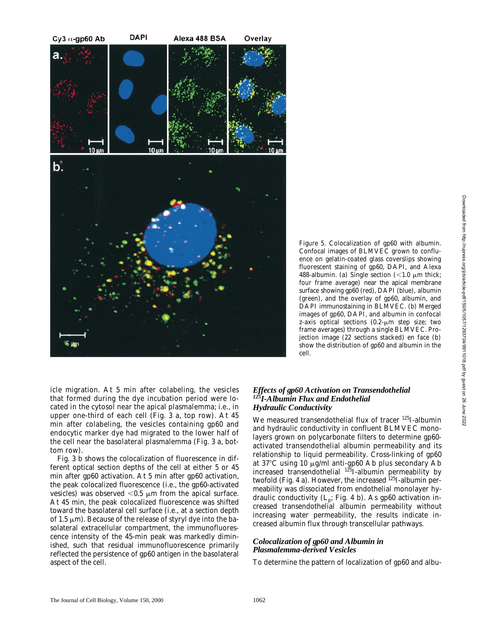

*Figure 5.* Colocalization of gp60 with albumin. Confocal images of BLMVEC grown to confluence on gelatin-coated glass coverslips showing fluorescent staining of gp60, DAPI, and Alexa 488-albumin. (a) Single section  $\left($  < 1.0  $\mu$ m thick; four frame average) near the apical membrane surface showing gp60 (red), DAPI (blue), albumin (green), and the overlay of gp60, albumin, and DAPI immunostaining in BLMVEC. (b) Merged images of gp60, DAPI, and albumin in confocal z-axis optical sections  $(0.2-\mu m)$  step size; two frame averages) through a single BLMVEC. Projection image (22 sections stacked) en face (b) show the distribution of gp60 and albumin in the cell.

icle migration. At 5 min after colabeling, the vesicles that formed during the dye incubation period were located in the cytosol near the apical plasmalemma; i.e., in upper one-third of each cell (Fig. 3 a, top row). At 45 min after colabeling, the vesicles containing gp60 and endocytic marker dye had migrated to the lower half of the cell near the basolateral plasmalemma (Fig. 3 a, bottom row).

Fig. 3 b shows the colocalization of fluorescence in different optical section depths of the cell at either 5 or 45 min after gp60 activation. At 5 min after gp60 activation, the peak colocalized fluorescence (i.e., the gp60-activated vesicles) was observed  $< 0.5 \mu m$  from the apical surface. At 45 min, the peak colocalized fluorescence was shifted toward the basolateral cell surface (i.e., at a section depth of 1.5  $\mu$ m). Because of the release of styryl dye into the basolateral extracellular compartment, the immunofluorescence intensity of the 45-min peak was markedly diminished, such that residual immunofluorescence primarily reflected the persistence of gp60 antigen in the basolateral aspect of the cell.

### *Effects of gp60 Activation on Transendothelial 125I-Albumin Flux and Endothelial Hydraulic Conductivity*

We measured transendothelial flux of tracer <sup>125</sup>I-albumin and hydraulic conductivity in confluent BLMVEC monolayers grown on polycarbonate filters to determine gp60 activated transendothelial albumin permeability and its relationship to liquid permeability. Cross-linking of gp60 at 37 $\degree$ C using 10  $\mu$ g/ml anti-gp60 Ab plus secondary Ab increased transendothelial <sup>125</sup>I-albumin permeability by twofold (Fig. 4 a). However, the increased  $^{125}$ I-albumin permeability was dissociated from endothelial monolayer hydraulic conductivity  $(L_p; Fig. 4 b)$ . As gp60 activation increased transendothelial albumin permeability without increasing water permeability, the results indicate increased albumin flux through transcellular pathways.

### *Colocalization of gp60 and Albumin in Plasmalemma-derived Vesicles*

To determine the pattern of localization of gp60 and albu-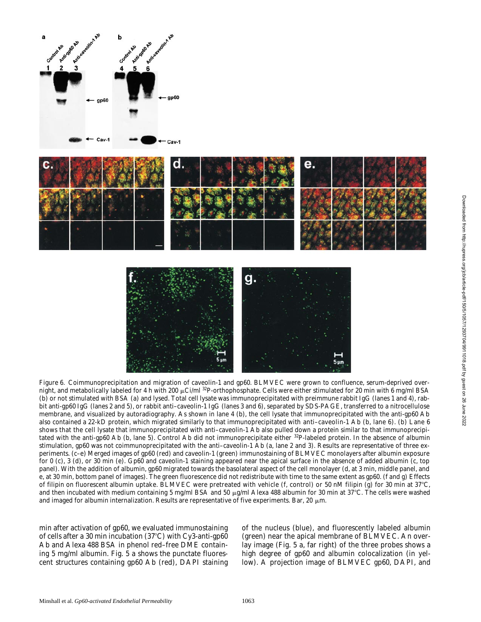



*Figure 6.* Coimmunoprecipitation and migration of caveolin-1 and gp60. BLMVEC were grown to confluence, serum-deprived overnight, and metabolically labeled for 4 h with 200  $\mu$ Ci/ml <sup>32</sup>P-orthophosphate. Cells were either stimulated for 20 min with 6 mg/ml BSA (b) or not stimulated with BSA (a) and lysed. Total cell lysate was immunoprecipitated with preimmune rabbit IgG (lanes 1 and 4), rabbit anti-gp60 IgG (lanes 2 and 5), or rabbit anti–caveolin-1 IgG (lanes 3 and 6), separated by SDS-PAGE, transferred to a nitrocellulose membrane, and visualized by autoradiography. As shown in lane 4 (b), the cell lysate that immunoprecipitated with the anti-gp60 Ab also contained a 22-kD protein, which migrated similarly to that immunoprecipitated with anti–caveolin-1 Ab (b, lane 6). (b) Lane 6 shows that the cell lysate that immunoprecipitated with anti–caveolin-1 Ab also pulled down a protein similar to that immunoprecipitated with the anti-gp60 Ab (b, lane 5). Control Ab did not immunoprecipitate either 32P-labeled protein. In the absence of albumin stimulation, gp60 was not coimmunoprecipitated with the anti–caveolin-1 Ab (a, lane 2 and 3). Results are representative of three experiments. (c–e) Merged images of gp60 (red) and caveolin-1 (green) immunostaining of BLMVEC monolayers after albumin exposure for 0 (c), 3 (d), or 30 min (e). Gp60 and caveolin-1 staining appeared near the apical surface in the absence of added albumin (c, top panel). With the addition of albumin, gp60 migrated towards the basolateral aspect of the cell monolayer (d, at 3 min, middle panel, and e, at 30 min, bottom panel of images). The green fluorescence did not redistribute with time to the same extent as gp60. (f and g) Effects of filipin on fluorescent albumin uptake. BLMVEC were pretreated with vehicle (f, control) or 50 nM filipin (g) for 30 min at  $37^{\circ}$ C, and then incubated with medium containing 5 mg/ml BSA and 50  $\mu$ g/ml Alexa 488 albumin for 30 min at 37°C. The cells were washed and imaged for albumin internalization. Results are representative of five experiments. Bar, 20  $\mu$ m.

min after activation of gp60, we evaluated immunostaining of cells after a 30 min incubation  $(37^{\circ}C)$  with Cy3-anti-gp60 Ab and Alexa 488 BSA in phenol red–free DME containing 5 mg/ml albumin. Fig. 5 a shows the punctate fluorescent structures containing gp60 Ab (red), DAPI staining of the nucleus (blue), and fluorescently labeled albumin (green) near the apical membrane of BLMVEC. An overlay image (Fig. 5 a, far right) of the three probes shows a high degree of gp60 and albumin colocalization (in yellow). A projection image of BLMVEC gp60, DAPI, and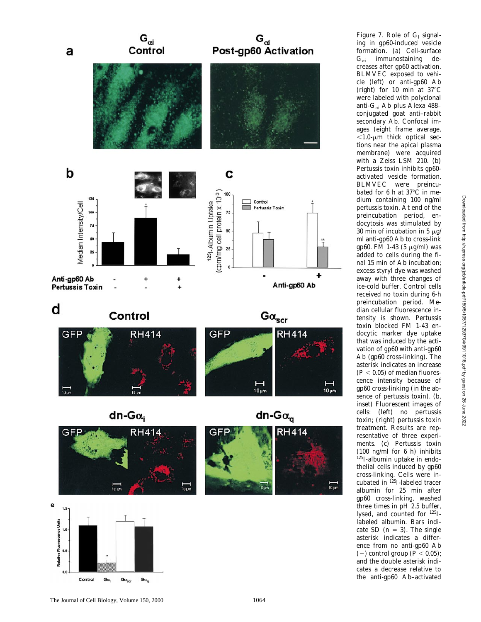

*Figure 7.* Role of G<sub>i</sub> signaling in gp60-induced vesicle formation. (a) Cell-surface  $\mathrm{G}_{\alpha i}$  immunostaining decreases after gp60 activation. BLMVEC exposed to vehicle (left) or anti-gp60 Ab (right) for 10 min at  $37^{\circ}$ C were labeled with polyclonal anti-G<sub>αi</sub> Ab plus Alexa 488– conjugated goat anti–rabbit secondary Ab. Confocal images (eight frame average,  $<$ 1.0- $\mu$ m thick optical sections near the apical plasma membrane) were acquired with a Zeiss LSM 210. (b) Pertussis toxin inhibits gp60 activated vesicle formation. BLMVEC were preincubated for 6 h at  $37^{\circ}$ C in medium containing 100 ng/ml pertussis toxin. At end of the preincubation period, endocytosis was stimulated by 30 min of incubation in 5  $\mu$ g/ ml anti-gp60 Ab to cross-link gp60. FM 1-43 (5 μg/ml) was added to cells during the final 15 min of Ab incubation; excess styryl dye was washed away with three changes of ice-cold buffer. Control cells received no toxin during 6-h preincubation period. Median cellular fluorescence intensity is shown. Pertussis toxin blocked FM 1-43 endocytic marker dye uptake that was induced by the activation of gp60 with anti-gp60 Ab (gp60 cross-linking). The asterisk indicates an increase  $(P < 0.05)$  of median fluorescence intensity because of gp60 cross-linking (in the absence of pertussis toxin). (b, inset) Fluorescent images of cells: (left) no pertussis toxin; (right) pertussis toxin treatment. Results are representative of three experiments. (c) Pertussis toxin (100 ng/ml for 6 h) inhibits 125I-albumin uptake in endothelial cells induced by gp60 cross-linking. Cells were incubated in <sup>125</sup>I-labeled tracer albumin for 25 min after gp60 cross-linking, washed three times in pH 2.5 buffer, lysed, and counted for 125Ilabeled albumin. Bars indicate SD  $(n = 3)$ . The single asterisk indicates a difference from no anti-gp60 Ab  $(-)$  control group ( $P < 0.05$ ); and the double asterisk indicates a decrease relative to the anti-gp60 Ab–activated

 $Ga$ 

Control

 $\mathsf{G}\alpha_\mathsf{q}$ 

 $\mathsf{G}\alpha_{\mathrm{scr}}$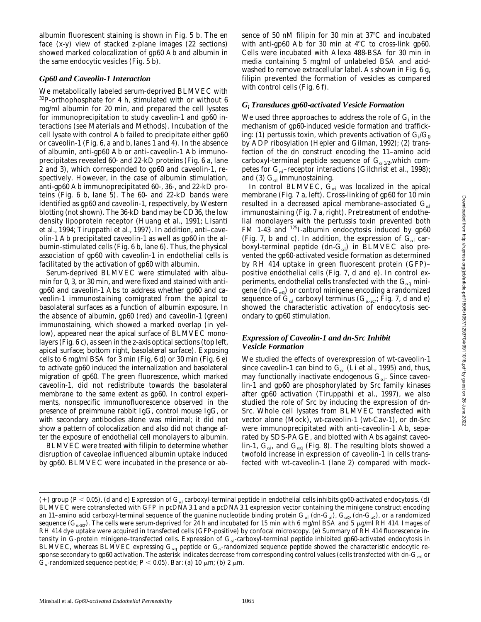albumin fluorescent staining is shown in Fig. 5 b. The en face (x-y) view of stacked z-plane images (22 sections) showed marked colocalization of gp60 Ab and albumin in the same endocytic vesicles (Fig. 5 b).

#### *Gp60 and Caveolin-1 Interaction*

We metabolically labeled serum-deprived BLMVEC with 32P-orthophosphate for 4 h, stimulated with or without 6 mg/ml albumin for 20 min, and prepared the cell lysates for immunoprecipitation to study caveolin-1 and gp60 interactions (see Materials and Methods). Incubation of the cell lysate with control Ab failed to precipitate either gp60 or caveolin-1 (Fig. 6, a and b, lanes 1 and 4). In the absence of albumin, anti-gp60 Ab or anti–caveolin-1 Ab immunoprecipitates revealed 60- and 22-kD proteins (Fig. 6 a, lane 2 and 3), which corresponded to gp60 and caveolin-1, respectively. However, in the case of albumin stimulation, anti-gp60 Ab immunoprecipitated 60-, 36-, and 22-kD proteins (Fig. 6 b, lane 5). The 60- and 22-kD bands were identified as gp60 and caveolin-1, respectively, by Western blotting (not shown). The 36-kD band may be CD36, the low density lipoprotein receptor (Huang et al., 1991; Lisanti et al., 1994; Tiruppathi et al., 1997). In addition, anti–caveolin-1 Ab precipitated caveolin-1 as well as gp60 in the albumin-stimulated cells (Fig. 6 b, lane 6). Thus, the physical association of gp60 with caveolin-1 in endothelial cells is facilitated by the activation of gp60 with albumin.

Serum-deprived BLMVEC were stimulated with albumin for 0, 3, or 30 min, and were fixed and stained with antigp60 and caveolin-1 Abs to address whether gp60 and caveolin-1 immunostaining comigrated from the apical to basolateral surfaces as a function of albumin exposure. In the absence of albumin, gp60 (red) and caveolin-1 (green) immunostaining, which showed a marked overlap (in yellow), appeared near the apical surface of BLMVEC monolayers (Fig. 6 c), as seen in the z-axis optical sections (top left, apical surface; bottom right, basolateral surface). Exposing cells to 6 mg/ml BSA for 3 min (Fig. 6 d) or 30 min (Fig. 6 e) to activate gp60 induced the internalization and basolateral migration of gp60. The green fluorescence, which marked caveolin-1, did not redistribute towards the basolateral membrane to the same extent as gp60. In control experiments, nonspecific immunofluorescence observed in the presence of preimmune rabbit IgG, control mouse IgG, or with secondary antibodies alone was minimal; it did not show a pattern of colocalization and also did not change after the exposure of endothelial cell monolayers to albumin.

BLMVEC were treated with filipin to determine whether disruption of caveolae influenced albumin uptake induced by gp60. BLMVEC were incubated in the presence or absence of 50 nM filipin for 30 min at  $37^{\circ}$ C and incubated with anti-gp60 Ab for 30 min at  $4^{\circ}$ C to cross-link gp60. Cells were incubated with Alexa 488-BSA for 30 min in media containing 5 mg/ml of unlabeled BSA and acidwashed to remove extracellular label. As shown in Fig. 6 g, filipin prevented the formation of vesicles as compared with control cells (Fig. 6 f).

### *Gi Transduces gp60-activated Vesicle Formation*

We used three approaches to address the role of  $\mathrm{G}_{\mathrm{i}}$  in the mechanism of gp60-induced vesicle formation and trafficking: (1) pertussis toxin, which prevents activation of  $\mathrm{G}_{\boldsymbol{\mathsf{i}}} / \mathrm{G}_{\boldsymbol{0}}$ by ADP ribosylation (Hepler and Gilman, 1992); (2) transfection of the dn construct encoding the 11–amino acid carboxyl-terminal peptide sequence of  $G_{\alpha 1/2}$ , which competes for  $\mathrm{G}_{\alpha \mathrm{i}}$ –receptor interactions (Gilchrist et al., 1998); and (3)  $G_{\alpha i}$  immunostaining.

In control BLMVEC,  $\mathbf{G}_{\alpha i}$  was localized in the apical membrane (Fig. 7 a, left). Cross-linking of gp60 for 10 min resulted in a decreased apical membrane–associated  $G_{\alpha i}$ immunostaining (Fig. 7 a, right). Pretreatment of endothelial monolayers with the pertussis toxin prevented both FM 1-43 and <sup>125</sup>I-albumin endocytosis induced by gp60 (Fig. 7, b and c). In addition, the expression of  $G_{\alpha i}$  carboxyl-terminal peptide (dn- $\mathrm{G}_{\alpha i}$ ) in BLMVEC also prevented the gp60-activated vesicle formation as determined by RH 414 uptake in green fluorescent protein (GFP)– positive endothelial cells (Fig. 7, d and e). In control experiments, endothelial cells transfected with the  $G_{\alpha q}$  minigene (dn- $G_{\alpha q}$ ) or control minigene encoding a randomized sequence of  $\mathrm{G}_{\scriptscriptstyle{\alpha i}}$  carboxyl terminus ( $\mathrm{G}_{\scriptscriptstyle{\alpha\text{-}scr}}$ ; Fig. 7, d and e) showed the characteristic activation of endocytosis secondary to gp60 stimulation.

### *Expression of Caveolin-1 and dn-Src Inhibit Vesicle Formation*

We studied the effects of overexpression of wt-caveolin-1 since caveolin-1 can bind to  $\mathbf{G}_{\alpha i}$  (Li et al., 1995) and, thus, may functionally inactivate endogenous  $\mathbf{G}_{\alpha\mathbf{i}}$ . Since caveolin-1 and gp60 are phosphorylated by *Src* family kinases after gp60 activation (Tiruppathi et al., 1997), we also studied the role of *Src* by inducing the expression of dn-*Src*. Whole cell lysates from BLMVEC transfected with vector alone (Mock), wt-caveolin-1 (wt-Cav-1), or dn-*Src* were immunoprecipitated with anti–caveolin-1 Ab, separated by SDS-PAGE, and blotted with Abs against caveolin-1,  $\rm G_{\alpha i}$ , and  $\rm G_{\alpha q}$  (Fig. 8). The resulting blots showed a twofold increase in expression of caveolin-1 in cells transfected with wt-caveolin-1 (lane 2) compared with mock-

 $(+)$  group ( $P < 0.05$ ). (d and e) Expression of G<sub>ai</sub> carboxyl-terminal peptide in endothelial cells inhibits gp60-activated endocytosis. (d) BLMVEC were cotransfected with GFP in pcDNA3.1 and a pcDNA3.1 expression vector containing the minigene construct encoding an 11–amino acid carboxyl-terminal sequence of the guanine nucleotide binding protein  ${\tt G}_{\rm \alpha i}$  (dn- ${\tt G}_{\rm \alpha q}$ ),  ${\tt G}_{\rm \alpha q}$ , (dn- ${\tt G}_{\rm \alpha q}$ ), or a randomized sequence ( $G_{\alpha\text{-scr}}$ ). The cells were serum-deprived for 24 h and incubated for 15 min with 6 mg/ml BSA and 5 µg/ml RH 414. Images of RH 414 dye uptake were acquired in transfected cells (GFP-positive) by confocal microscopy. (e) Summary of RH 414 fluorescence intensity in G-protein minigene–transfected cells. Expression of G<sub>ai</sub>-carboxyl-terminal peptide inhibited gp60-activated endocytosis in BLMVEC, whereas BLMVEC expressing  $G_{\alpha q}$  peptide or  $G_{\alpha}$ -randomized sequence peptide showed the characteristic endocytic response secondary to gp60 activation. The asterisk indicates decrease from corresponding control values (cells transfected with dn-G<sub>aq</sub> or  $G_{\alpha}$ -randomized sequence peptide; *P* < 0.05). Bar: (a) 10  $\mu$ m; (b) 2  $\mu$ m.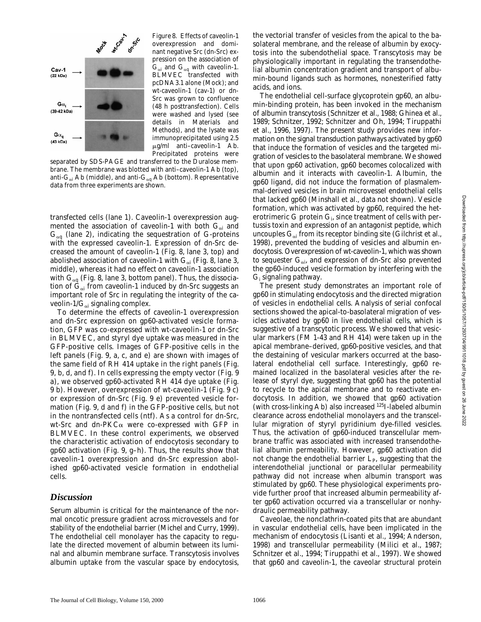

*Figure 8.* Effects of caveolin-1 overexpression and dominant negative *Src* (dn-*Src*) expression on the association of  $G_{\alpha i}$  and  $G_{\alpha q}$  with caveolin-1. BLMVEC transfected with pcDNA3.1 alone (Mock); and wt-caveolin-1 (cav-1) or dn-*Src* was grown to confluence (48 h posttransfection). Cells were washed and lysed (see details in Materials and Methods), and the lysate was immunoprecipitated using 2.5  $\mu$ g/ml anti-caveolin-1 Ab. Precipitated proteins were

separated by SDS-PAGE and transferred to the Duralose membrane. The membrane was blotted with anti–caveolin-1 Ab (top), anti-G $_{\alpha i}$  Ab (middle), and anti-G $_{\alpha q}$  Ab (bottom). Representative data from three experiments are shown.

transfected cells (lane 1). Caveolin-1 overexpression augmented the association of caveolin-1 with both  $\mathrm{G}_{\alpha i}$  and  $G_{\alpha q}$  (lane 2), indicating the sequestration of G-proteins with the expressed caveolin-1. Expression of dn-*Src* decreased the amount of caveolin-1 (Fig. 8, lane 3, top) and abolished association of caveolin-1 with  $\mathrm{G}_{\alpha i}$  (Fig. 8, lane 3, middle), whereas it had no effect on caveolin-1 association with  $G_{\alpha q}$  (Fig. 8, lane 3, bottom panel). Thus, the dissociation of  $\mathbf{G}_{\alpha\mathbf{i}}$  from caveolin-1 induced by dn-*Src* suggests an important role of *Src* in regulating the integrity of the caveolin-1/ $\mathrm{G}_{\alpha i}$  signaling complex.

To determine the effects of caveolin-1 overexpression and dn-*Src* expression on gp60-activated vesicle formation, GFP was co-expressed with wt-caveolin-1 or dn-*Src* in BLMVEC, and styryl dye uptake was measured in the GFP-positive cells. Images of GFP-positive cells in the left panels (Fig. 9, a, c, and e) are shown with images of the same field of RH 414 uptake in the right panels (Fig. 9, b, d, and f). In cells expressing the empty vector (Fig. 9 a), we observed gp60-activated RH 414 dye uptake (Fig. 9 b). However, overexpression of wt-caveolin-1 (Fig. 9 c) or expression of dn-*Src* (Fig. 9 e) prevented vesicle formation (Fig. 9, d and f) in the GFP-positive cells, but not in the nontransfected cells (ntf). As a control for dn-*Src*, wt-*Src* and dn-PKCa were co-expressed with GFP in BLMVEC. In these control experiments, we observed the characteristic activation of endocytosis secondary to gp60 activation (Fig. 9, g–h). Thus, the results show that caveolin-1 overexpression and dn-*Src* expression abolished gp60-activated vesicle formation in endothelial cells.

### *Discussion*

Serum albumin is critical for the maintenance of the normal oncotic pressure gradient across microvessels and for stability of the endothelial barrier (Michel and Curry, 1999). The endothelial cell monolayer has the capacity to regulate the directed movement of albumin between its luminal and albumin membrane surface. Transcytosis involves albumin uptake from the vascular space by endocytosis,

the vectorial transfer of vesicles from the apical to the basolateral membrane, and the release of albumin by exocytosis into the subendothelial space. Transcytosis may be physiologically important in regulating the transendothelial albumin concentration gradient and transport of albumin-bound ligands such as hormones, nonesterified fatty acids, and ions.

The endothelial cell-surface glycoprotein gp60, an albumin-binding protein, has been invoked in the mechanism of albumin transcytosis (Schnitzer et al., 1988; Ghinea et al., 1989; Schnitzer, 1992; Schnitzer and Oh, 1994; Tiruppathi et al., 1996, 1997). The present study provides new information on the signal transduction pathways activated by gp60 that induce the formation of vesicles and the targeted migration of vesicles to the basolateral membrane. We showed that upon gp60 activation, gp60 becomes colocalized with albumin and it interacts with caveolin-1. Albumin, the gp60 ligand, did not induce the formation of plasmalemmal-derived vesicles in brain microvessel endothelial cells that lacked gp60 (Minshall et al., data not shown). Vesicle formation, which was activated by gp60, required the heterotrimeric G protein G<sub>i</sub>, since treatment of cells with pertussis toxin and expression of an antagonist peptide, which uncouples  $\mathrm{G}_{\alpha \mathrm{i}}$  from its receptor binding site (Gilchrist et al., 1998), prevented the budding of vesicles and albumin endocytosis. Overexpression of wt-caveolin-1, which was shown to sequester  $\mathbf{G}_{\alpha i}$ , and expression of dn-*Src* also prevented the gp60-induced vesicle formation by interfering with the  $G_i$  signaling pathway.

The present study demonstrates an important role of gp60 in stimulating endocytosis and the directed migration of vesicles in endothelial cells. Analysis of serial confocal sections showed the apical-to-basolateral migration of vesicles activated by gp60 in live endothelial cells, which is suggestive of a transcytotic process. We showed that vesicular markers (FM 1-43 and RH 414) were taken up in the apical membrane–derived, gp60-positive vesicles, and that the destaining of vesicular markers occurred at the basolateral endothelial cell surface. Interestingly, gp60 remained localized in the basolateral vesicles after the release of styryl dye, suggesting that gp60 has the potential to recycle to the apical membrane and to reactivate endocytosis. In addition, we showed that gp60 activation (with cross-linking Ab) also increased 125I-labeled albumin clearance across endothelial monolayers and the transcellular migration of styryl pyridinium dye-filled vesicles. Thus, the activation of gp60-induced transcellular membrane traffic was associated with increased transendothelial albumin permeability. However, gp60 activation did not change the endothelial barrier  $L_p$ , suggesting that the interendothelial junctional or paracellular permeability pathway did not increase when albumin transport was stimulated by gp60. These physiological experiments provide further proof that increased albumin permeability after gp60 activation occurred via a transcellular or nonhydraulic permeability pathway.

Caveolae, the nonclathrin-coated pits that are abundant in vascular endothelial cells, have been implicated in the mechanism of endocytosis (Lisanti et al., 1994; Anderson, 1998) and transcellular permeability (Milici et al., 1987; Schnitzer et al., 1994; Tiruppathi et al., 1997). We showed that gp60 and caveolin-1, the caveolar structural protein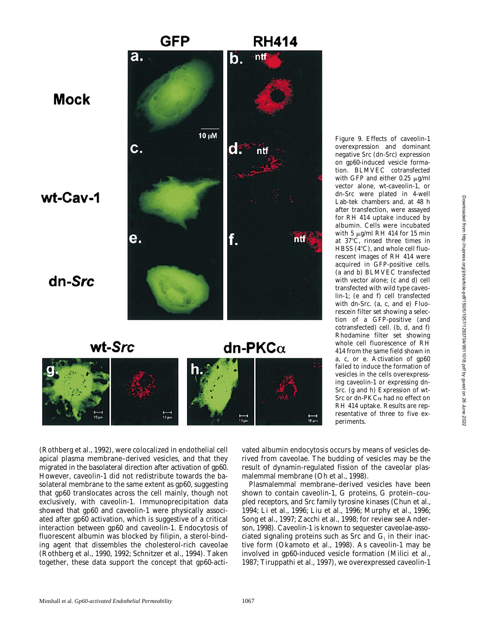

overexpression and dominant negative *Src* (dn-*Src*) expression on gp60-induced vesicle formation. BLMVEC cotransfected with GFP and either  $0.25 \mu g/ml$ vector alone, wt-caveolin-1, or dn-*Src* were plated in 4-well Lab-tek chambers and, at 48 h after transfection, were assayed for RH 414 uptake induced by albumin. Cells were incubated with 5  $\mu$ g/ml RH 414 for 15 min at 37°C, rinsed three times in HBSS  $(4^{\circ}C)$ , and whole cell fluorescent images of RH 414 were acquired in GFP-positive cells. (a and b) BLMVEC transfected with vector alone; (c and d) cell transfected with wild type caveolin-1; (e and f) cell transfected with dn-*Src*. (a, c, and e) Fluorescein filter set showing a selection of a GFP-positive (and cotransfected) cell. (b, d, and f) Rhodamine filter set showing whole cell fluorescence of RH 414 from the same field shown in a, c, or e. Activation of gp60 failed to induce the formation of vesicles in the cells overexpressing caveolin-1 or expressing dn-*Src*. (g and h) Expression of wt-*Src* or dn-PKCa had no effect on RH 414 uptake. Results are representative of three to five experiments.

(Rothberg et al., 1992), were colocalized in endothelial cell apical plasma membrane–derived vesicles, and that they migrated in the basolateral direction after activation of gp60. However, caveolin-1 did not redistribute towards the basolateral membrane to the same extent as gp60, suggesting that gp60 translocates across the cell mainly, though not exclusively, with caveolin-1. Immunoprecipitation data showed that gp60 and caveolin-1 were physically associated after gp60 activation, which is suggestive of a critical interaction between gp60 and caveolin-1. Endocytosis of fluorescent albumin was blocked by filipin, a sterol-binding agent that dissembles the cholesterol-rich caveolae (Rothberg et al., 1990, 1992; Schnitzer et al., 1994). Taken together, these data support the concept that gp60-activated albumin endocytosis occurs by means of vesicles derived from caveolae. The budding of vesicles may be the result of dynamin-regulated fission of the caveolar plasmalemmal membrane (Oh et al., 1998).

Plasmalemmal membrane–derived vesicles have been shown to contain caveolin-1, G proteins, G protein–coupled receptors, and *Src* family tyrosine kinases (Chun et al., 1994; Li et al., 1996; Liu et al., 1996; Murphy et al., 1996; Song et al., 1997; Zacchi et al., 1998; for review see Anderson, 1998). Caveolin-1 is known to sequester caveolae-associated signaling proteins such as  $Src$  and  $G_i$  in their inactive form (Okamoto et al., 1998). As caveolin-1 may be involved in gp60-induced vesicle formation (Milici et al., 1987; Tiruppathi et al., 1997), we overexpressed caveolin-1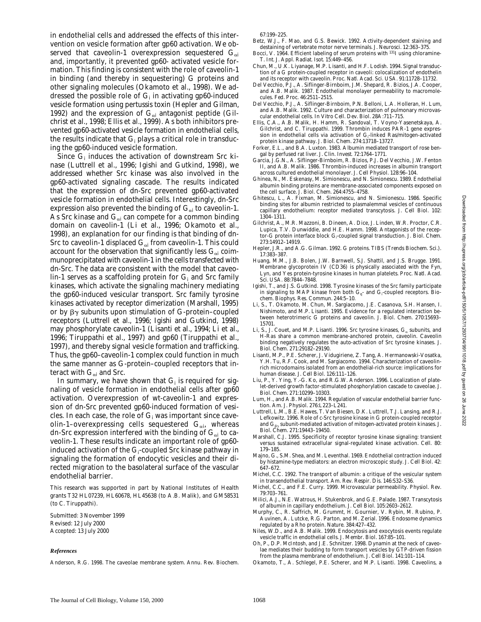2022

in endothelial cells and addressed the effects of this intervention on vesicle formation after gp60 activation. We observed that caveolin-1 overexpression sequestered  $G_{\alpha i}$ and, importantly, it prevented gp60- activated vesicle formation. This finding is consistent with the role of caveolin-1 in binding (and thereby in sequestering) G proteins and other signaling molecules (Okamoto et al., 1998). We addressed the possible role of  $\mathrm{G}_{\mathrm{i}}$  in activating gp60-induced vesicle formation using pertussis toxin (Hepler and Gilman, 1992) and the expression of  $G_{\alpha i}$  antagonist peptide (Gilchrist et al., 1998; Ellis et al., 1999). As both inhibitors prevented gp60-activated vesicle formation in endothelial cells, the results indicate that  $\mathrm{G}_\mathrm{i}$  plays a critical role in transducing the gp60-induced vesicle formation.

Since G<sub>i</sub> induces the activation of downstream *Src* kinase (Luttrell et al., 1996; Igishi and Gutkind, 1998), we addressed whether *Src* kinase was also involved in the gp60-activated signaling cascade. The results indicated that the expression of dn-*Src* prevented gp60-activated vesicle formation in endothelial cells. Interestingly, dn-*Src* expression also prevented the binding of  $\mathbf{G}_{\alpha i}$  to caveolin-1. As  $Src$  kinase and  $\boldsymbol{G_{\alpha i}}$  can compete for a common binding domain on caveolin-1 (Li et al., 1996; Okamoto et al., 1998), an explanation for our finding is that binding of dn- $\mathit{Src}$  to caveolin-1 displaced  $\mathrm{G}_{\alpha i}$  from caveolin-1. This could account for the observation that significantly less  $\mathrm{G}_{\alpha i}$  coimmunoprecipitated with caveolin-1 in the cells transfected with dn-*Src*. The data are consistent with the model that caveolin-1 serves as a scaffolding protein for  $\mathrm{G}_\mathrm{i}$  and *Src* family kinases, which activate the signaling machinery mediating the gp60-induced vesicular transport. *Src* family tyrosine kinases activated by receptor dimerization (Marshall, 1995) or by  $\beta\gamma$  subunits upon stimulation of G-protein–coupled receptors (Luttrell et al., 1996; Igishi and Gutkind, 1998) may phosphorylate caveolin-1 (Lisanti et al., 1994; Li et al., 1996; Tiruppathi et al., 1997) and gp60 (Tiruppathi et al., 1997), and thereby signal vesicle formation and trafficking. Thus, the gp60–caveolin-1 complex could function in much the same manner as G-protein–coupled receptors that interact with G<sub>ai</sub> and *Src*.

In summary, we have shown that  $\mathrm{G}_{\mathrm{i}}$  is required for signaling of vesicle formation in endothelial cells after gp60 activation. Overexpression of wt-caveolin-1 and expression of dn-*Src* prevented gp60-induced formation of vesicles. In each case, the role of  $\mathrm{G}_{\mathrm{i}}$  was important since caveolin-1–overexpressing cells sequestered  $\mathbf{G}_{\alpha i}$ , whereas dn-*Src* expression interfered with the binding of  $\mathrm{G}_{\alpha i}$  to caveolin-1. These results indicate an important role of gp60 induced activation of the G<sub>i</sub>-coupled *Src* kinase pathway in signaling the formation of endocytic vesicles and their directed migration to the basolateral surface of the vascular endothelial barrier.

This research was supported in part by National Institutes of Health grants T32 HL07239, HL60678, HL45638 (to A.B. Malik), and GM58531 (to C. Tiruppathi).

Submitted: 3 November 1999 Revised: 12 July 2000 Accepted: 13 July 2000

#### *References*

Anderson, R.G. 1998. The caveolae membrane system. *Annu. Rev. Biochem.*

67:199–225.

- Betz, W.J., F. Mao, and G.S. Bewick. 1992. Activity-dependent staining and destaining of vertebrate motor nerve terminals. *J. Neurosci.* 12:363–375.
- Bocci, V. 1964. Efficient labeling of serum proteins with <sup>131</sup>I using chloramine-T. *Int. J. Appl. Radiat. Isot*. 15:449–456.
- Chun, M., U.K. Liyanage, M.P. Lisanti, and H.F. Lodish. 1994. Signal transduction of a G protein-coupled receptor in caveoli: colocalization of endothelin and its receptor with caveolin. *Proc. Natl. Acad. Sci. USA.* 91:11728–11732.
- Del Vecchio, P.J., A. Siflinger-Birnboim, J.M. Shepard, R. Bizios, J.A. Cooper, and A.B. Malik. 1987. Endothelial monolayer permeability to macromolecules. *Fed. Proc.* 46:2511–2515.
- Del Vecchio, P.J., A. Siflinger-Birnboim, P.N. Belloni, L.A. Holleran, H. Lum, and A.B. Malik. 1992. Culture and characterization of pulmonary microvascular endothelial cells. *In Vitro Cell. Dev. Biol.* 28A:711–715.
- Ellis, C.A., A.B. Malik, H. Hamm, R. Sandoval, T. Voyno-Yasenetskaya, A. Gilchrist, and C. Tiruppathi. 1999. Thrombin induces PAR-1 gene expression in endothelial cells via activation of  $\mathrm{G}_{\mathrm{i}}$ -linked Ras/mitogen-activated protein kinase pathway. *J. Biol. Chem.* 274:13718–13727.
- Forker, E.L., and B.A. Luxton. 1983. Albumin mediated transport of rose bengal by perfused rat liver. *J. Clin. Invest*. 72:1764–1771.
- Garcia, J.G.N., A. Siflinger-Birnboim, R. Bizios, P.J. Del Vecchio, J.W. Fenton II, and A.B. Malik. 1986. Thrombin-induced increases in albumin transport across cultured endothelial monolayer. *J. Cell Physiol.* 128:96–104.
- Ghinea, N., M. Eskenasy, M. Simionescu, and N. Simionescu. 1989. Endothelial albumin binding proteins are membrane-associated components exposed on the cell surface. *J. Biol. Chem.* 264:4755–4758.
- Ghitescu, L., A. Fixman, M. Simionescu, and N. Simionescu. 1986. Specific binding sites for albumin restricted to plasmalemmal vesicles of continuous capillary endothelium: receptor mediated transcytosis. *J. Cell Biol.* 102: 1304–1311.
- Gilchrist, A., M.R. Mazzoni, B. Dineen, A. Dice, J. Linden, W.R. Proctor, C.R. Lupica, T.V. Dunwiddie, and H.E. Hamm. 1998. Antagonists of the receptor-G protein interface block G<sub>i</sub>-coupled signal transduction. *J. Biol. Chem.* 273:14912–14919.
- Hepler, J.R., and A.G. Gilman. 1992. G proteins. *TIBS (Trends Biochem. Sci.)*. 17:383–387.
- Huang, M.M., J.B. Bolen, J.W. Barnwell, S.J. Shattil, and J.S. Brugge. 1991. Membrane glycoprotein IV (CD36) is physically associated with the Fyn, Lyn, and Yes protein-tyrosine kinases in human platelets. *Proc. Natl. Acad. Sci. USA.* 88:7844–7848.
- Igishi, T., and J.S. Gutkind. 1998. Tyrosine kinases of the *Src* family participate in signaling to MAP kinase from both G<sub>q</sub>- and G<sub>i</sub>-coupled receptors. *Biochem. Biophys. Res. Commun.* 244:5–10.
- Li, S., T. Okamoto, M. Chun, M. Sargiacomo, J.E. Casanova, S.H. Hansen, I. Nishimoto, and M.P. Lisanti. 1995. Evidence for a regulated interaction between heterotrimeric G proteins and caveolin. *J. Biol. Chem.* 270:15693– 15701.
- Li, S., J. Couet, and M.P. Lisanti. 1996. *Src* tyrosine kinases,  $G_{\alpha}$  subunits, and H-Ras share a common membrane-anchored protein, caveolin. Caveolin binding negatively regulates the auto-activation of *Src* tyrosine kinases. *J. Biol. Chem.* 271:29182–29190.
- Lisanti, M.P., P.E. Scherer, J. Vidugiriene, Z. Tang, A. Hermanowski-Vosatka, Y.H. Tu, R.F. Cook, and M. Sargiacomo. 1994. Characterization of caveolinrich microdomains isolated from an endothelial-rich source: implications for human disease. *J. Cell Biol.* 126:111–126.
- Liu, P., Y. Ying, Y.-G. Ko, and R.G.W. Anderson. 1996. Localization of platelet-derived growth factor-stimulated phosphorylation cascade to caveolae. *J. Biol. Chem.* 271:10299–10303.
- Lum, H., and A.B. Malik. 1994. Regulation of vascular endothelial barrier function. *Am. J. Physiol*. 276:L223–L241.
- Luttrell, L.M., B.E. Hawes, T. Van Biesen, D.K. Luttrell, T.J. Lansing, and R.J. Lefkowitz. 1996. Role of *c-Src* tyrosine kinase in G protein-coupled receptor and  $\mathbf{G}_{\boldsymbol{\beta}\boldsymbol{\gamma}}$  subunit-mediated activation of mitogen-activated protein kinases.  $J$ *Biol. Chem.* 271:19443–19450.
- Marshall, C.J. 1995. Specificity of receptor tyrosine kinase signaling: transient versus sustained extracellular signal-regulated kinase activation. *Cell.* 80: 179–185.
- Majno, G., S.M. Shea, and M. Leventhal. 1969. Endothelial contraction induced by histamine-type mediators: an electron microscopic study. *J. Cell Biol.* 42: 647–672.
- Michel, C.C. 1992. The transport of albumin: a critique of the vesicular system in transendothelial transport. *Am. Rev. Respir. Dis.* 146:S32–S36.
- Michel, C.C., and F.E. Curry. 1999. Microvascular permeability. *Physiol. Rev.* 79:703–761.
- Milici, A.J., N.E. Watrous, H. Stukenbrok, and G.E. Palade. 1987. Transcytosis of albumin in capillary endothelium. *J. Cell Biol.* 105:2603–2612.
- Murphy, C., R. Saffrich, M. Grummt, H. Gournier, V. Rybin, M. Rubino, P. Auvinen, A. Lutcke, R.G. Parton, and M. Zerial. 1996. Endosome dynamics regulated by a Rho protein. *Nature.* 384:427–432.
- Niles, W.D., and A.B. Malik. 1999. Endocytosis and exocytosis events regulate vesicle traffic in endothelial cells. *J. Membr. Biol.* 167:85–101.
- Oh, P., D.P. McIntosh, and J.E. Schnitzer. 1998. Dynamin at the neck of caveolae mediates their budding to form transport vesicles by GTP-driven fission from the plasma membrane of endothelium. *J. Cell Biol.* 141:101–114.
- Okamoto, T., A. Schlegel, P.E. Scherer, and M.P. Lisanti. 1998. Caveolins, a